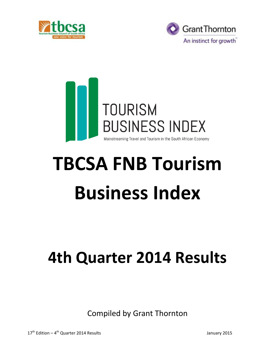





# **TBCSA FNB Tourism Business Index**

# **4th Quarter 2014 Results**

Compiled by Grant Thornton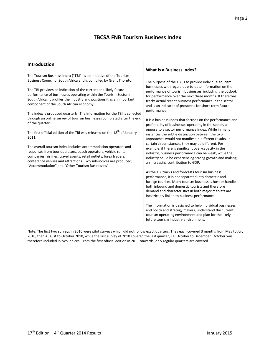# **TBCSA FNB Tourism Business Index**

#### **Introduction**

The Tourism Business Index ("**TBI**") is an initiative of the Tourism Business Council of South Africa and is compiled by Grant Thornton.

The TBI provides an indication of the current and likely future performance of businesses operating within the Tourism Sector in South Africa. It profiles the industry and positions it as an important component of the South African economy.

The index is produced quarterly. The information for the TBI is collected through an online survey of tourism businesses completed after the end of the quarter.

The first official edition of the TBI was released on the 18<sup>th</sup> of January 2011.

The overall tourism index includes accommodation operators and responses from tour operators, coach operators, vehicle rental companies, airlines, travel agents, retail outlets, forex traders, conference venues and attractions. Two sub-indices are produced; "Accommodation" and "Other Tourism Businesses"

#### **What is a Business Index?**

The purpose of the TBI is to provide individual tourism businesses with regular, up-to-date information on the performance of tourism businesses, including the outlook for performance over the next three months. It therefore tracks actual recent business performance in the sector and is an indicator of prospects for short-term future performance.

It is a business index that focuses on the performance and profitability of businesses operating in the sector, as oppose to a sector performance index. While in many instances the subtle distinction between the two approaches would not manifest in different results, in certain circumstances, they may be different. For example, if there is significant over-capacity in the industry, business performance can be weak, while the industry could be experiencing strong growth and making an increasing contribution to GDP.

As the TBI tracks and forecasts tourism business performance, it is not separated into domestic and foreign tourism. Many tourism businesses host or handle both inbound and domestic tourists and therefore demand and characteristics in both major markets are inextricably linked to business performance.

The information is designed to help individual businesses and policy and strategy makers, understand the current tourism operating environment and plan for the likely future tourism industry environment.

Note: The first two surveys in 2010 were pilot surveys which did not follow exact quarters. They each covered 3 months from May to July 2010, then August to October 2010, while the last survey of 2010 covered the last quarter, i.e. October to December. October was therefore included in two indices. From the first official edition in 2011 onwards, only regular quarters are covered.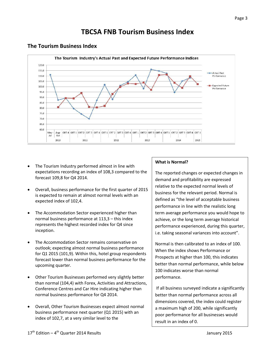# **TBCSA FNB Tourism Business Index**



### **The Tourism Business Index**

- The Tourism Industry performed almost in line with expectations recording an index of 108,3 compared to the forecast 109,8 for Q4 2014.
- Overall, business performance for the first quarter of 2015 is expected to remain at almost normal levels with an expected index of 102,4.
- The Accommodation Sector experienced higher than normal business performance at 113,3 – this index represents the highest recorded index for Q4 since inception.
- The Accommodation Sector remains conservative on outlook; expecting almost normal business performance for Q1 2015 (101,9). Within this, hotel group respondents forecast lower than normal business performance for the upcoming quarter.
- Other Tourism Businesses performed very slightly better than normal (104,4) with Forex, Activities and Attractions, Conference Centres and Car Hire indicating higher than normal business performance for Q4 2014.
- Overall, Other Tourism Businesses expect almost normal business performance next quarter (Q1 2015) with an index of 102,7, at a very similar level to the

#### **What is Normal?**

The reported changes or expected changes in demand and profitability are expressed relative to the expected normal levels of business for the relevant period. Normal is defined as "the level of acceptable business performance in line with the realistic long term average performance you would hope to achieve, or the long term average historical performance experienced, during this quarter, i.e. taking seasonal variances into account".

Normal is then calibrated to an index of 100. When the index shows Performance or Prospects at higher than 100, this indicates better than normal performance, while below 100 indicates worse than normal performance.

If all business surveyed indicate a significantly better than normal performance across all dimensions covered, the index could register a maximum high of 200, while significantly poor performance for all businesses would result in an index of 0.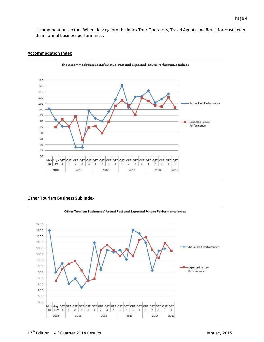accommodation sector . When delving into the index Tour Operators, Travel Agents and Retail forecast lower than normal business performance.

#### **Accommodation Index**



#### **Other Tourism Business Sub Index**

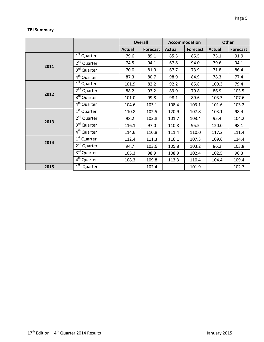#### **TBI Summary**

|      |                         | <b>Overall</b> |                 | Accommodation |                 | <b>Other</b>  |                 |  |
|------|-------------------------|----------------|-----------------|---------------|-----------------|---------------|-----------------|--|
|      |                         | Actual         | <b>Forecast</b> | <b>Actual</b> | <b>Forecast</b> | <b>Actual</b> | <b>Forecast</b> |  |
|      | 1 <sup>st</sup> Quarter | 79.6           | 89.1            | 85.3          | 85.5            | 75.1          | 91.9            |  |
|      | 2 <sup>nd</sup> Quarter | 74.5           | 94.1            | 67.8          | 94.0            | 79.6          | 94.1            |  |
| 2011 | 3rd Quarter             | 70.0           | 81.0            | 67.7          | 73.9            | 71.8          | 86.4            |  |
|      | 4 <sup>th</sup> Quarter | 87.3           | 80.7            | 98.9          | 84.9            | 78.3          | 77.4            |  |
| 2012 | 1 <sup>st</sup> Quarter | 101.9          | 82.2            | 92.2          | 85.8            | 109.3         | 79.4            |  |
|      | 2 <sup>nd</sup> Quarter | 88.2           | 93.2            | 89.9          | 79.8            | 86.9          | 103.5           |  |
|      | 3rd Quarter             | 101.0          | 99.8            | 98.1          | 89.6            | 103.3         | 107.6           |  |
|      | 4 <sup>th</sup> Quarter | 104.6          | 103.1           | 108.4         | 103.1           | 101.6         | 103.2           |  |
| 2013 | 1 <sup>st</sup> Quarter | 110.8          | 102.5           | 120.9         | 107.8           | 103.1         | 98.4            |  |
|      | 2 <sup>nd</sup> Quarter | 98.2           | 103.8           | 101.7         | 103.4           | 95.4          | 104.2           |  |
|      | 3rd Quarter             | 116.1          | 97.0            | 110.8         | 95.5            | 120.0         | 98.1            |  |
|      | 4 <sup>th</sup> Quarter | 114.6          | 110.8           | 111.4         | 110.0           | 117.2         | 111.4           |  |
| 2014 | 1 <sup>st</sup> Quarter | 112.4          | 111.3           | 116.1         | 107.3           | 109.6         | 114.4           |  |
|      | 2 <sup>nd</sup> Quarter | 94.7           | 103.6           | 105.8         | 103.2           | 86.2          | 103.8           |  |
|      | 3rd Quarter             | 105.3          | 98.9            | 108.9         | 102.4           | 102.5         | 96.3            |  |
|      | 4 <sup>th</sup> Quarter | 108.3          | 109.8           | 113.3         | 110.4           | 104.4         | 109.4           |  |
| 2015 | $1st$ Quarter           |                | 102.4           |               | 101.9           |               | 102.7           |  |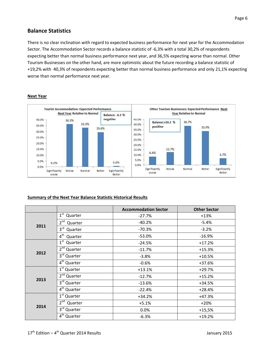# **Balance Statistics**

There is no clear inclination with regard to expected business performance for next year for the Accommodation Sector. The Accommodation Sector records a balance statistic of -6,3% with a total 30,2% of respondents expecting better than normal business performance next year, and 36,5% expecting worse than normal. Other Tourism Businesses on the other hand, are more optimistic about the future recording a balance statistic of +19,2% with 40,3% of respondents expecting better than normal business performance and only 21,1% expecting worse than normal performance next year.



#### **Next Year**

#### **Summary of the Next Year Balance Statistic Historical Results**

|      |                            | <b>Accommodation Sector</b> | <b>Other Sector</b> |  |  |
|------|----------------------------|-----------------------------|---------------------|--|--|
| 2011 | $1^{\rm st}$<br>Quarter    | $-27.7%$                    | $+13%$              |  |  |
|      | 2 <sup>nd</sup><br>Quarter | $-40.2%$                    | $-5.4%$             |  |  |
|      | 3 <sup>rd</sup><br>Quarter | $-70.3%$                    | $-3.2%$             |  |  |
|      | 4 <sup>th</sup><br>Quarter | $-53.0%$                    | $-16.9%$            |  |  |
|      | $1^{\rm st}$<br>Quarter    | $-24.5%$                    | $+17.2%$            |  |  |
|      | 2 <sup>nd</sup> Quarter    | $-11.7%$                    | $+15.3%$            |  |  |
| 2012 | 3rd Quarter                | $-3.8%$                     | $+10.5%$            |  |  |
|      | $4th$ Quarter              | $-0.6%$                     | +37.6%              |  |  |
| 2013 | $1st$ Quarter              | $+13.1%$                    | $+29.7%$            |  |  |
|      | 2 <sup>nd</sup> Quarter    | $-12.7%$                    | $+15.2%$            |  |  |
|      | $3rd$ Quarter              | $-13.6%$                    | $+34.5%$            |  |  |
|      | $4th$ Quarter              | $-22.4%$                    | $+28.4%$            |  |  |
|      | $1st$ Quarter              | $+34.2%$                    | $+47.3%$            |  |  |
| 2014 | 2 <sup>nd</sup><br>Quarter | $+5.1%$                     | $+20%$              |  |  |
|      | 3rd Quarter                | 0.0%                        | $+15,5%$            |  |  |
|      | $4th$ Quarter              | $-6.3%$                     | $+19.2%$            |  |  |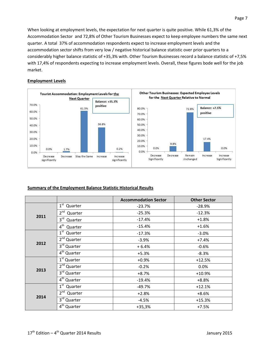When looking at employment levels, the expectation for next quarter is quite positive. While 61,3% of the Accommodation Sector and 72,8% of Other Tourism Businesses expect to keep employee numbers the same next quarter. A total 37% of accommodation respondents expect to increase employment levels and the accommodation sector shifts from very low / negative historical balance statistic over prior quarters to a considerably higher balance statistic of +35,3% with. Other Tourism Businesses record a balance statistic of +7,5% with 17,4% of respondents expecting to increase employment levels. Overall, these figures bode well for the job market.

#### **Employment Levels**



#### **Summary of the Employment Balance Statistic Historical Results**

|      |                            | <b>Accommodation Sector</b> | <b>Other Sector</b> |  |  |
|------|----------------------------|-----------------------------|---------------------|--|--|
| 2011 | $1^{\rm st}$<br>Quarter    | $-23.7%$                    | $-28.9%$            |  |  |
|      | $2^{\text{nd}}$<br>Quarter | $-25.3%$                    | $-12.3%$            |  |  |
|      | 3 <sup>rd</sup><br>Quarter | $-17.4%$                    | $+1.8%$             |  |  |
|      | 4 <sup>th</sup><br>Quarter | $-15.4%$                    | $+1.6%$             |  |  |
|      | $1^{\rm st}$<br>Quarter    | $-17.3%$                    | $-3.0%$             |  |  |
|      | 2 <sup>nd</sup> Quarter    | $-3.9%$                     | $+7.4%$             |  |  |
| 2012 | $3rd$ Quarter              | $+6.4%$                     | $-0.6%$             |  |  |
|      | $4th$ Quarter              | $+5.3%$                     | $-8.3%$             |  |  |
| 2013 | 1 <sup>st</sup> Quarter    | $+0.9%$                     | $+12.5%$            |  |  |
|      | 2 <sup>nd</sup> Quarter    | $-0.2%$                     | 0.0%                |  |  |
|      | 3rd Quarter                | $+8.7%$                     | $+10.9%$            |  |  |
|      | $4th$ Quarter              | $-19.4%$                    | $+8.8%$             |  |  |
|      | $1^{\rm st}$<br>Quarter    | $-49.7%$                    | $+12.1%$            |  |  |
|      | $2^{nd}$<br>Quarter        | $+2.8%$                     | $+8.6%$             |  |  |
| 2014 | 3rd Quarter                | $-4.5%$                     | $+15.3%$            |  |  |
|      | $4th$ Quarter              | $+35,3%$                    | $+7.5%$             |  |  |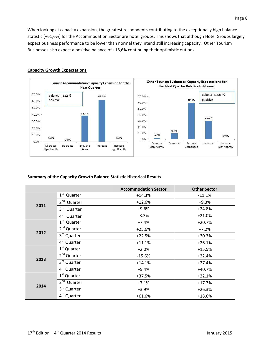When looking at capacity expansion, the greatest respondents contributing to the exceptionally high balance statistic (+61,6%) for the Accommodation Sector are hotel groups. This shows that although Hotel Groups largely expect business performance to be lower than normal they intend still increasing capacity. Other Tourism Businesses also expect a positive balance of +18,6% continuing their optimistic outlook.



#### **Capacity Growth Expectations**

#### **Summary of the Capacity Growth Balance Statistic Historical Results**

|      |                                    | <b>Accommodation Sector</b> | <b>Other Sector</b> |  |  |
|------|------------------------------------|-----------------------------|---------------------|--|--|
| 2011 | $1^{\rm st}$<br>Quarter            | $+14.3%$                    | $-11.1%$            |  |  |
|      | 2 <sup>nd</sup><br>Quarter         | $+12.6%$                    | $+9.3%$             |  |  |
|      | 3 <sup>rd</sup><br>Quarter         | $+9.6%$                     | $+24.8%$            |  |  |
|      | 4 <sup>th</sup><br>Quarter         | $-3.3%$                     | $+21.0%$            |  |  |
|      | $1st$ Quarter                      | $+7.4%$                     | $+20.7%$            |  |  |
|      | 2 <sup>nd</sup> Quarter            | $+25.6%$                    | $+7.2%$             |  |  |
| 2012 | 3rd Quarter                        | $+22.5%$                    | $+30.3%$            |  |  |
|      | $\overline{4}^{\text{th}}$ Quarter | $+11.1%$                    | $+26.1%$            |  |  |
| 2013 | 1 <sup>st</sup> Quarter            | $+2.0%$                     | $+15.5%$            |  |  |
|      | 2 <sup>nd</sup> Quarter            | $-15.6%$                    | $+22.4%$            |  |  |
|      | 3rd Quarter                        | $+14.1%$                    | $+27.4%$            |  |  |
|      | 4 <sup>th</sup> Quarter            | $+5.4%$                     | $+40.7%$            |  |  |
|      | $1st$ Quarter                      | $+37.5%$                    | $+22.1%$            |  |  |
|      | 2 <sup>nd</sup><br>Quarter         | $+7.1%$                     | $+17.7%$            |  |  |
| 2014 | 3 <sup>rd</sup><br>Quarter         | $+3.9%$                     | $+26.3%$            |  |  |
|      | 4 <sup>th</sup> Quarter            | $+61.6%$                    | +18.6%              |  |  |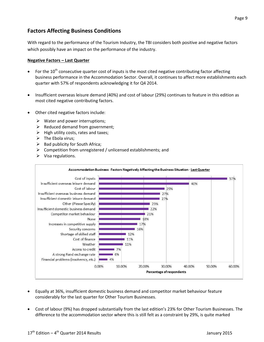# **Factors Affecting Business Conditions**

With regard to the performance of the Tourism Industry, the TBI considers both positive and negative factors which possibly have an impact on the performance of the industry.

#### **Negative Factors – Last Quarter**

- For the  $10^{th}$  consecutive quarter cost of inputs is the most cited negative contributing factor affecting business performance in the Accommodation Sector. Overall, it continues to affect more establishments each quarter with 57% of respondents acknowledging it for Q4 2014.
- Insufficient overseas leisure demand (40%) and cost of labour (29%) continues to feature in this edition as most cited negative contributing factors.
- Other cited negative factors include:
	- $\triangleright$  Water and power interruptions;
	- $\triangleright$  Reduced demand from government;
	- $\triangleright$  High utility costs, rates and taxes;
	- $\triangleright$  The Ebola virus;
	- $\triangleright$  Bad publicity for South Africa;
	- $\triangleright$  Competition from unregistered / unlicensed establishments; and
	- $\triangleright$  Visa regulations.



- Equally at 36%, insufficient domestic business demand and competitor market behaviour feature considerably for the last quarter for Other Tourism Businesses.
- Cost of labour (9%) has dropped substantially from the last edition's 23% for Other Tourism Businesses. The difference to the accommodation sector where this is still felt as a constraint by 29%, is quite marked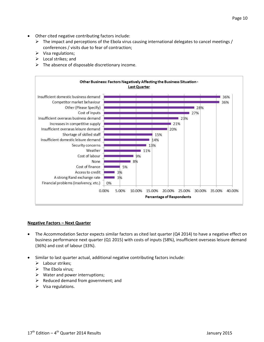- Other cited negative contributing factors include:
	- $\triangleright$  The impact and perceptions of the Ebola virus causing international delegates to cancel meetings / conferences / visits due to fear of contraction;
	- $\triangleright$  Visa regulations;
	- $\triangleright$  Local strikes; and
	- $\triangleright$  The absence of disposable discretionary income.



#### **Negative Factors – Next Quarter**

- The Accommodation Sector expects similar factors as cited last quarter (Q4 2014) to have a negative effect on business performance next quarter (Q1 2015) with costs of inputs (58%), insufficient overseas leisure demand (36%) and cost of labour (33%).
- Similar to last quarter actual, additional negative contributing factors include:
	- $\blacktriangleright$  Labour strikes;
	- $\triangleright$  The Ebola virus;
	- $\triangleright$  Water and power interruptions;
	- $\triangleright$  Reduced demand from government; and
	- $\triangleright$  Visa regulations.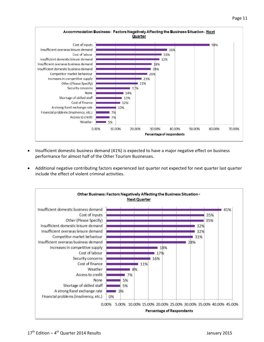

30.00%

Percentage of respondents

40.00%

50.00%

60.00%

70.00%

 Insufficient domestic business demand (41%) is expected to have a major negative effect on business performance for almost half of the Other Tourism Businesses.

10.00%

0.00%

 Additional negative contributing factors experienced last quarter not expected for next quarter last quarter include the effect of violent criminal activities.

20.00%

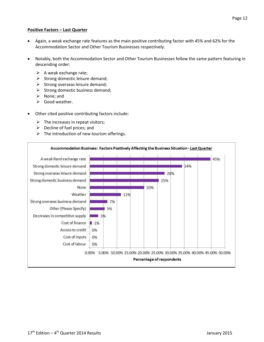#### **Positive Factors – Last Quarter**

- Again, a weak exchange rate features as the main positive contributing factor with 45% and 62% for the Accommodation Sector and Other Tourism Businesses respectively.
- Notably, both the Accommodation Sector and Other Tourism Businesses follow the same pattern featuring in descending order:
	- $\triangleright$  A weak exchange rate;
	- $\triangleright$  Strong domestic leisure demand;
	- $\triangleright$  Strong overseas leisure demand;
	- $\triangleright$  Strong domestic business demand;
	- $\triangleright$  None; and
	- $\triangleright$  Good weather.
- Other cited positive contributing factors include:
	- $\triangleright$  The increases in repeat visitors;
	- $\triangleright$  Decline of fuel prices; and
	- $\triangleright$  The introduction of new tourism offerings.

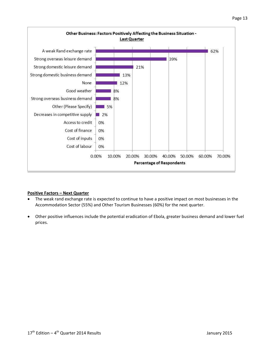



#### **Positive Factors – Next Quarter**

- The weak rand exchange rate is expected to continue to have a positive impact on most businesses in the Accommodation Sector (55%) and Other Tourism Businesses (60%) for the next quarter.
- Other positive influences include the potential eradication of Ebola, greater business demand and lower fuel prices.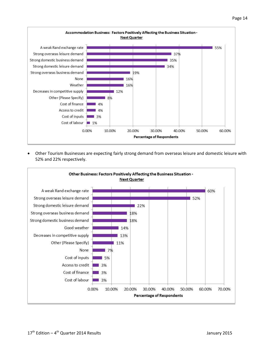

 Other Tourism Businesses are expecting fairly strong demand from overseas leisure and domestic leisure with 52% and 22% respectively.

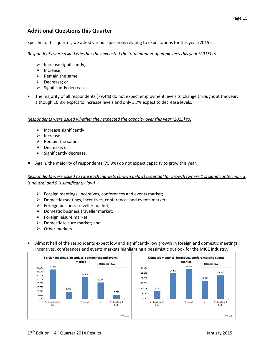# **Additional Questions this Quarter**

Specific to this quarter, we asked various questions relating to expectations for this year (2015).

#### *Respondents were asked whether they expected the total number of employees this year (2015) to:*

- $\triangleright$  Increase significantly;
- $\triangleright$  Increase;
- $\triangleright$  Remain the same;
- $\triangleright$  Decrease; or
- $\triangleright$  Significantly decrease.
- The majority of all respondents (79,4%) do not expect employment levels to change throughout the year; although 16,8% expect to increase levels and only 3,7% expect to decrease levels.

#### *Respondents were asked whether they expected the capacity over this year (2015) to:*

- $\triangleright$  Increase significantly;
- $\blacktriangleright$  Increase;
- $\triangleright$  Remain the same;
- $\triangleright$  Decrease; or
- $\triangleright$  Significantly decrease.
- Again, the majority of respondents (75,9%) do not expect capacity to grow this year.

#### *Respondents were asked to rate each markets (shown below) potential for growth (where 1 is significantly high, 3 is neutral and 5 is significantly low)*

- $\triangleright$  Foreign meetings, incentives, conferences and events market;
- $\triangleright$  Domestic meetings, incentives, conferences and events market;
- $\triangleright$  Foreign business traveller market;
- $\triangleright$  Domestic business traveller market;
- $\triangleright$  Foreign leisure market;
- $\triangleright$  Domestic leisure market; and
- $\triangleright$  Other markets.
- Almost half of the respondents expect low and significantly low growth in foreign and domestic meetings, incentives, conferences and events markets highlighting a pessimistic outlook for the MICE industry.

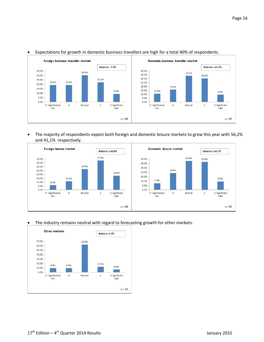

#### Expectations for growth in domestic business travellers are high for a total 40% of respondents.

 The majority of respondents expect both foreign and domestic leisure markets to grow this year with 56,2% and 41,1% respectively.



#### The industry remains neutral with regard to forecasting growth for other markets.

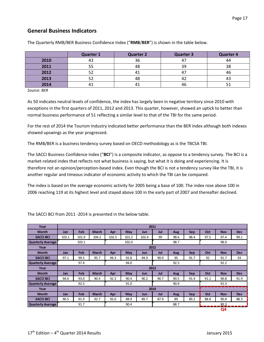# **General Business Indicators**

|      | <b>Quarter 1</b> | <b>Quarter 2</b> | <b>Quarter 3</b> | <b>Quarter 4</b> |
|------|------------------|------------------|------------------|------------------|
| 2010 | 43               | 36               | 47               | 44               |
| 2011 |                  | 48               | 39               | 38               |
| 2012 |                  | 41               | 47               | 46               |
| 2013 |                  | 48               | ∡4               |                  |
| 2014 |                  |                  | 46               |                  |

The Quarterly RMB/BER Business Confidence Index ("**RMB**/**BER**") is shown in the table below.

*Source: BER*

As 50 indicates neutral levels of confidence, the index has largely been in negative territory since 2010 with exceptions in the first quarters of 2011, 2012 and 2013. This quarter, however, showed an uptick to better than normal business performance of 51 reflecting a similar level to that of the TBI for the same period.

For the rest of 2014 the Tourism Industry indicated better performance than the BER index although both indexes showed upswings as the year progressed.

The RMB/BER is a business tendency survey based on OECD methodology as is the TBCSA TBI.

The SACCI Business Confidence Index ("**BCI**") is a composite indicator, as oppose to a tendency survey. The BCI is a market-related index that reflects not what business is saying, but what it is doing and experiencing. It is therefore not an opinion/perception-based index. Even though the BCI is not a tendency survey like the TBI, it is another regular and timeous indicator of economic activity to which the TBI can be compared.

The index is based on the average economic activity for 2005 being a base of 100. The index rose above 100 in 2006 reaching 119 at its highest level and stayed above 100 in the early part of 2007 and thereafter declined.

| Year                     | 2011  |              |              |       |            |            |      |      |            |      |                |            |
|--------------------------|-------|--------------|--------------|-------|------------|------------|------|------|------------|------|----------------|------------|
| <b>Month</b>             | Jan   | Feb          | <b>March</b> | Apr   | May        | <b>Jun</b> | Jul  | Aug  | Sep        | Oct  | <b>Nov</b>     | <b>Dec</b> |
| <b>SACCI BCI</b>         | 103.1 | 101.9        | 104.2        | 102.5 | 101.2      | 102.4      | 99   | 98.6 | 98.4       | 97.5 | 97.4           | 99.1       |
| <b>Quarterly Average</b> |       | 103.1        |              | 102.0 |            |            | 98.7 |      |            | 98.0 |                |            |
| Year                     |       |              |              |       |            |            | 2012 |      |            |      |                |            |
| <b>Month</b>             | Jan   | Feb          | <b>March</b> | Apr   | May        | <b>Jun</b> | Jul  | Aug  | <b>Sep</b> | Oct  | <b>Nov</b>     | <b>Dec</b> |
| <b>SACCI BCI</b>         | 97.1  | 99.5         | 95.7         | 94.3  | 92.8       | 94.9       | 90.9 | 95   | 91.7       | 92   | 91.7           | 93         |
| <b>Quarterly Average</b> |       | 97.4<br>94.0 |              |       | 92.5       |            |      | 92.2 |            |      |                |            |
| Year                     |       |              |              |       |            |            | 2013 |      |            |      |                |            |
| <b>Month</b>             | Jan   | Feb          | <b>March</b> | Apr   | May        | <b>Jun</b> | Jul  | Aug  | Sep        | Oct  | <b>Nov</b>     | <b>Dec</b> |
| <b>SACCI BCI</b>         | 94.0  | 93.0         | 90.4         | 92.3  | 90.4       | 90.2       | 90.7 | 90.5 | 91.4       | 91.1 | 90.8           | 91.9       |
| Quarterly Average        |       | 92.5         | 91.0         |       |            | 90.9       |      |      | 91.3       |      |                |            |
| Year                     | 2014  |              |              |       |            |            |      |      |            |      |                |            |
| <b>Month</b>             | Jan   | Feb          | <b>March</b> | Apr   | <b>May</b> | <b>Jun</b> | Jul  | Aug  | <b>Sep</b> | Oct  | <b>Nov</b>     | <b>Dec</b> |
| <b>SACCI BCI</b>         | 90.5  | 91.9         | 92.7         | 92.6  | 88.9       | 89.7       | 87.9 | 89   | 89.2       | 88.8 | 90.8           | 88.3       |
| Quarterly Average        |       | 91.7         |              |       | 90.4       |            |      | 88.7 |            |      | 89.3           |            |
|                          |       |              |              |       |            |            |      |      |            |      | Q <sub>4</sub> |            |

The SACCI BCI from 2011 -2014 is presented in the below table.